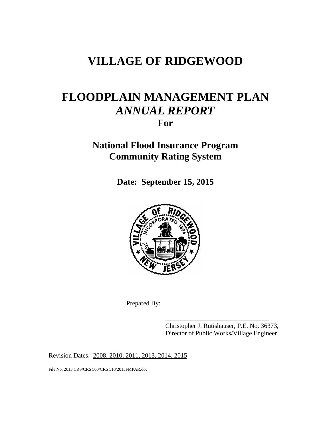# **VILLAGE OF RIDGEWOOD**

# **FLOODPLAIN MANAGEMENT PLAN** *ANNUAL REPORT* **For**

## **National Flood Insurance Program Community Rating System**

**Date: September 15, 2015**



Prepared By:

Christopher J. Rutishauser, P.E. No. 36373, Director of Public Works/Village Engineer

\_\_\_\_\_\_\_\_\_\_\_\_\_\_\_\_\_\_\_\_\_\_\_\_\_\_\_\_\_\_\_\_

Revision Dates: 2008, 2010, 2011, 2013, 2014, 2015

File No. 2013 CRS/CRS 500/CRS 510/2013FMPAR.doc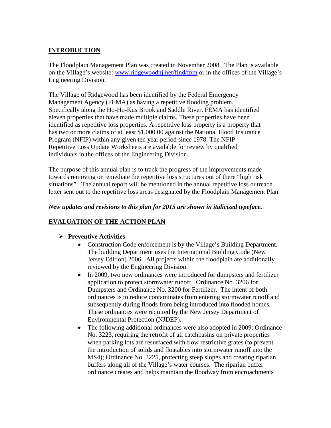## **INTRODUCTION**

The Floodplain Management Plan was created in November 2008. The Plan is available on the Village's website: [www.ridgewoodnj.net/find/fpm](http://www.ridgewoodnj.net/find/fpm) or in the offices of the Village's Engineering Division.

The Village of Ridgewood has been identified by the Federal Emergency Management Agency (FEMA) as having a repetitive flooding problem. Specifically along the Ho-Ho-Kus Brook and Saddle River. FEMA has identified eleven properties that have made multiple claims. These properties have been identified as repetitive loss properties. A repetitive loss property is a property that has two or more claims of at least \$1,000.00 against the National Flood Insurance Program (NFIP) within any given ten year period since 1978. The NFIP Repetitive Loss Update Worksheets are available for review by qualified individuals in the offices of the Engineering Division.

The purpose of this annual plan is to track the progress of the improvements made towards removing or remediate the repetitive loss structures out of there "high risk situations". The annual report will be mentioned in the annual repetitive loss outreach letter sent out to the repetitive loss areas designated by the Floodplain Management Plan.

#### *New updates and revisions to this plan for 2015 are shown in italicized typeface.*

### **EVALUATION OF THE ACTION PLAN**

### **Preventive Activities**

- Construction Code enforcement is by the Village's Building Department. The building Department uses the International Building Code (New Jersey Edition) 2006. All projects within the floodplain are additionally reviewed by the Engineering Division.
- In 2009, two new ordinances were introduced for dumpsters and fertilizer application to protect stormwater runoff. Ordinance No. 3206 for Dumpsters and Ordinance No. 3200 for Fertilizer. The intent of both ordinances is to reduce contaminates from entering stormwater runoff and subsequently during floods from being introduced into flooded homes. These ordinances were required by the New Jersey Department of Environmental Protection (NJDEP).
- The following additional ordinances were also adopted in 2009: Ordinance No. 3223, requiring the retrofit of all catchbasins on private properties when parking lots are resurfaced with flow restrictive grates (to prevent the introduction of solids and floatables into stormwater runoff into the MS4); Ordinance No. 3225, protecting steep slopes and creating riparian buffers along all of the Village's water courses. The riparian buffer ordinance creates and helps maintain the floodway from encroachments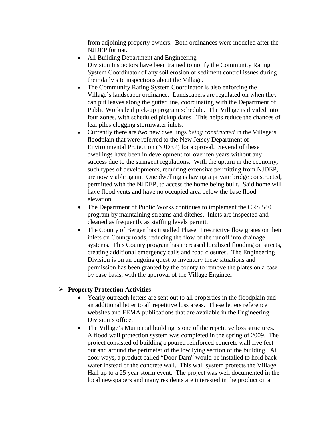from adjoining property owners. Both ordinances were modeled after the NJDEP format.

- All Building Department and Engineering Division Inspectors have been trained to notify the Community Rating System Coordinator of any soil erosion or sediment control issues during their daily site inspections about the Village.
- The Community Rating System Coordinator is also enforcing the Village's landscaper ordinance. Landscapers are regulated on when they can put leaves along the gutter line, coordinating with the Department of Public Works leaf pick-up program schedule. The Village is divided into four zones, with scheduled pickup dates. This helps reduce the chances of leaf piles clogging stormwater inlets.
- Currently there are *two* new dwellings *being constructed* in the Village's floodplain that were referred to the New Jersey Department of Environmental Protection (NJDEP) for approval. Several of these dwellings have been in development for over ten years without any success due to the stringent regulations. With the upturn in the economy, such types of developments, requiring extensive permitting from NJDEP, are now viable again. One dwelling is having a private bridge constructed, permitted with the NJDEP, to access the home being built. Said home will have flood vents and have no occupied area below the base flood elevation.
- The Department of Public Works continues to implement the CRS 540 program by maintaining streams and ditches. Inlets are inspected and cleaned as frequently as staffing levels permit.
- The County of Bergen has installed Phase II restrictive flow grates on their inlets on County roads, reducing the flow of the runoff into drainage systems. This County program has increased localized flooding on streets, creating additional emergency calls and road closures. The Engineering Division is on an ongoing quest to inventory these situations and permission has been granted by the county to remove the plates on a case by case basis, with the approval of the Village Engineer.

#### **Property Protection Activities**

- Yearly outreach letters are sent out to all properties in the floodplain and an additional letter to all repetitive loss areas. These letters reference websites and FEMA publications that are available in the Engineering Division's office.
- The Village's Municipal building is one of the repetitive loss structures. A flood wall protection system was completed in the spring of 2009. The project consisted of building a poured reinforced concrete wall five feet out and around the perimeter of the low lying section of the building. At door ways, a product called "Door Dam" would be installed to hold back water instead of the concrete wall. This wall system protects the Village Hall up to a 25 year storm event. The project was well documented in the local newspapers and many residents are interested in the product on a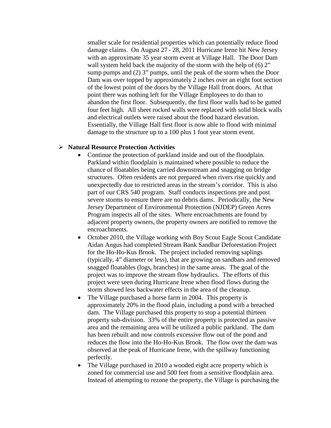smaller scale for residential properties which can potentially reduce flood damage claims. On August 27 - 28, 2011 Hurricane Irene hit New Jersey with an approximate 35 year storm event at Village Hall. The Door Dam wall system held back the majority of the storm with the help of (6) 2" sump pumps and (2) 3" pumps, until the peak of the storm when the Door Dam was over topped by approximately 2 inches over an eight foot section of the lowest point of the doors by the Village Hall front doors. At that point there was nothing left for the Village Employees to do than to abandon the first floor. Subsequently, the first floor walls had to be gutted four feet high. All sheet rocked walls were replaced with solid block walls and electrical outlets were raised about the flood hazard elevation. Essentially, the Village Hall first floor is now able to flood with minimal damage to the structure up to a 100 plus 1 foot year storm event.

#### **Natural Resource Protection Activities**

- Continue the protection of parkland inside and out of the floodplain. Parkland within floodplain is maintained where possible to reduce the chance of floatables being carried downstream and snagging on bridge structures. Often residents are not prepared when rivers rise quickly and unexpectedly due to restricted areas in the stream's corridor. This is also part of our CRS 540 program. Staff conducts inspections pre and post severe storms to ensure there are no debris dams. Periodically, the New Jersey Department of Environmental Protection (NJDEP) Green Acres Program inspects all of the sites. Where encroachments are found by adjacent property owners, the property owners are notified to remove the encroachments.
- October 2010, the Village working with Boy Scout Eagle Scout Candidate Aidan Angus had completed Stream Bank Sandbar Deforestation Project for the Ho-Ho-Kus Brook. The project included removing saplings (typically, 4" diameter or less), that are growing on sandbars and removed snagged floatables (logs, branches) in the same areas. The goal of the project was to improve the stream flow hydraulics. The efforts of this project were seen during Hurricane Irene when flood flows during the storm showed less backwater effects in the area of the cleanup.
- The Village purchased a horse farm in 2004. This property is approximately 20% in the flood plain, including a pond with a breached dam. The Village purchased this property to stop a potential thirteen property sub-division. 33% of the entire property is protected as passive area and the remaining area will be utilized a public parkland.The dam has been rebuilt and now controls excessive flow out of the pond and reduces the flow into the Ho-Ho-Kus Brook. The flow over the dam was observed at the peak of Hurricane Irene, with the spillway functioning perfectly.
- The Village purchased in 2010 a wooded eight acre property which is zoned for commercial use and 500 feet from a sensitive floodplain area. Instead of attempting to rezone the property, the Village is purchasing the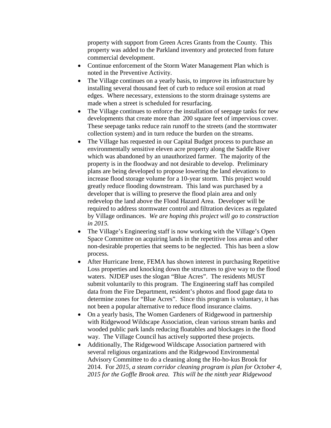property with support from Green Acres Grants from the County. This property was added to the Parkland inventory and protected from future commercial development.

- Continue enforcement of the Storm Water Management Plan which is noted in the Preventive Activity.
- The Village continues on a yearly basis, to improve its infrastructure by installing several thousand feet of curb to reduce soil erosion at road edges. Where necessary, extensions to the storm drainage systems are made when a street is scheduled for resurfacing.
- The Village continues to enforce the installation of seepage tanks for new developments that create more than 200 square feet of impervious cover. These seepage tanks reduce rain runoff to the streets (and the stormwater collection system) and in turn reduce the burden on the streams.
- The Village has requested in our Capital Budget process to purchase an environmentally sensitive eleven acre property along the Saddle River which was abandoned by an unauthorized farmer. The majority of the property is in the floodway and not desirable to develop. Preliminary plans are being developed to propose lowering the land elevations to increase flood storage volume for a 10-year storm. This project would greatly reduce flooding downstream.This land was purchased by a developer that is willing to preserve the flood plain area and only redevelop the land above the Flood Hazard Area. Developer will be required to address stormwater control and filtration devices as regulated by Village ordinances. *We are hoping this project will go to construction in 2015.*
- The Village's Engineering staff is now working with the Village's Open Space Committee on acquiring lands in the repetitive loss areas and other non-desirable properties that seems to be neglected. This has been a slow process.
- After Hurricane Irene, FEMA has shown interest in purchasing Repetitive Loss properties and knocking down the structures to give way to the flood waters. NJDEP uses the slogan "Blue Acres". The residents MUST submit voluntarily to this program. The Engineering staff has compiled data from the Fire Department, resident's photos and flood gage data to determine zones for "Blue Acres".Since this program is voluntary, it has not been a popular alternative to reduce flood insurance claims.
- On a yearly basis, The Women Gardeners of Ridgewood in partnership with Ridgewood Wildscape Association, clean various stream banks and wooded public park lands reducing floatables and blockages in the flood way. The Village Council has actively supported these projects.
- Additionally, The Ridgewood Wildscape Association partnered with several religious organizations and the Ridgewood Environmental Advisory Committee to do a cleaning along the Ho-ho-kus Brook for 2014. For *2015, a steam corridor cleaning program is plan for October 4, 2015 for the Goffle Brook area. This will be the ninth year Ridgewood*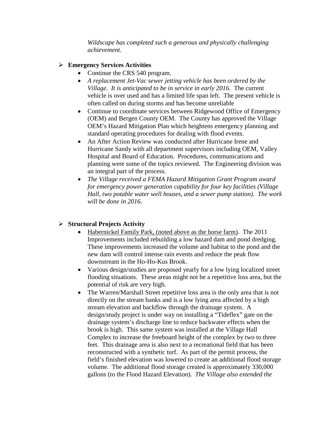*Wildscape has completed such a generous and physically challenging achievement.*

## **Emergency Services Activities**

- Continue the CRS 540 program.
- *A replacement Jet-Vac sewer jetting vehicle has been ordered by the Village. It is anticipated to be in service in early 2016.* The current vehicle is over used and has a limited life span left. The present vehicle is often called on during storms and has become unreliable
- Continue to coordinate services between Ridgewood Office of Emergency (OEM) and Bergen County OEM. The County has approved the Village OEM's Hazard Mitigation Plan which heightens emergency planning and standard operating procedures for dealing with flood events.
- An After Action Review was conducted after Hurricane Irene and Hurricane Sandy with all department supervisors including OEM, Valley Hospital and Board of Education. Procedures, communications and planning were some of the topics reviewed. The Engineering division was an integral part of the process.
- *The Village received a FEMA Hazard Mitigation Grant Program award for emergency power generation capability for four key facilities (Village Hall, two potable water well houses, and a sewer pump station). The work will be done in 2016.*

## **Structural Projects Activity**

- Habernickel Family Park, (noted above as the horse farm). The 2011 Improvements included rebuilding a low hazard dam and pond dredging. These improvements increased the volume and habitat to the pond and the new dam will control intense rain events and reduce the peak flow downstream in the Ho-Ho-Kus Brook.
- Various design/studies are proposed yearly for a low lying localized street flooding situations. These areas might not be a repetitive loss area, but the potential of risk are very high.
- The Warren/Marshall Street repetitive loss area is the only area that is not directly on the stream banks and is a low lying area affected by a high stream elevation and backflow through the drainage system. A design/study project is under way on installing a "Tideflex" gate on the drainage system's discharge line to reduce backwater effects when the brook is high. This same system was installed at the Village Hall Complex to increase the freeboard height of the complex by two to three feet. This drainage area is also next to a recreational field that has been reconstructed with a synthetic turf. As part of the permit process, the field's finished elevation was lowered to create an additional flood storage volume. The additional flood storage created is approximately 330,000 gallons (to the Flood Hazard Elevation). *The Village also extended the*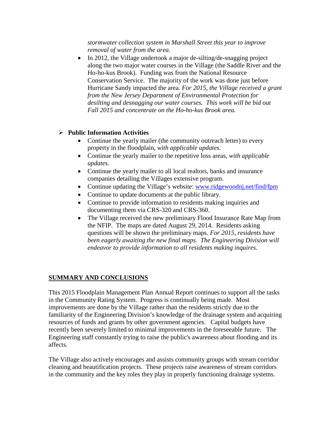*stormwater collection system in Marshall Street this year to improve removal of water from the area.*

• In 2012, the Village undertook a major de-silting/de-snagging project along the two major water courses in the Village (the Saddle River and the Ho-ho-kus Brook). Funding was from the National Resource Conservation Service. The majority of the work was done just before Hurricane Sandy impacted the area. *For 2015, the Village received a grant from the New Jersey Department of Environmental Protection for desilting and desnagging our water courses. This work will be bid out Fall 2015 and concentrate on the Ho-ho-kus Brook area.*

## **Public Information Activities**

- Continue the yearly mailer (the community outreach letter) to every property in the floodplain, *with applicable updates*.
- Continue the yearly mailer to the repetitive loss areas, *with applicable updates.*
- Continue the yearly mailer to all local realtors, banks and insurance companies detailing the Villages extensive program.
- Continue updating the Village's website: [www.ridgewoodnj.net/find/fpm](http://www.ridgewoodnj.net/find/fpm)
- Continue to update documents at the public library.
- Continue to provide information to residents making inquiries and documenting them via CRS-320 and CRS-360.
- The Village received the new preliminary Flood Insurance Rate Map from the NFIP. The maps are dated August 29, 2014. Residents asking questions will be shown the preliminary maps. *For 2015, residents have been eagerly awaiting the new final maps. The Engineering Division will endeavor to provide information to all residents making inquires.*

## **SUMMARY AND CONCLUSIONS**

This 2015 Floodplain Management Plan Annual Report continues to support all the tasks in the Community Rating System. Progress is continually being made. Most improvements are done by the Village rather than the residents strictly due to the familiarity of the Engineering Division's knowledge of the drainage system and acquiring resources of funds and grants by other government agencies. Capital budgets have recently been severely limited to minimal improvements in the foreseeable future. The Engineering staff constantly trying to raise the public's awareness about flooding and its affects.

The Village also actively encourages and assists community groups with stream corridor cleaning and beautification projects. These projects raise awareness of stream corridors in the community and the key roles they play in properly functioning drainage systems.